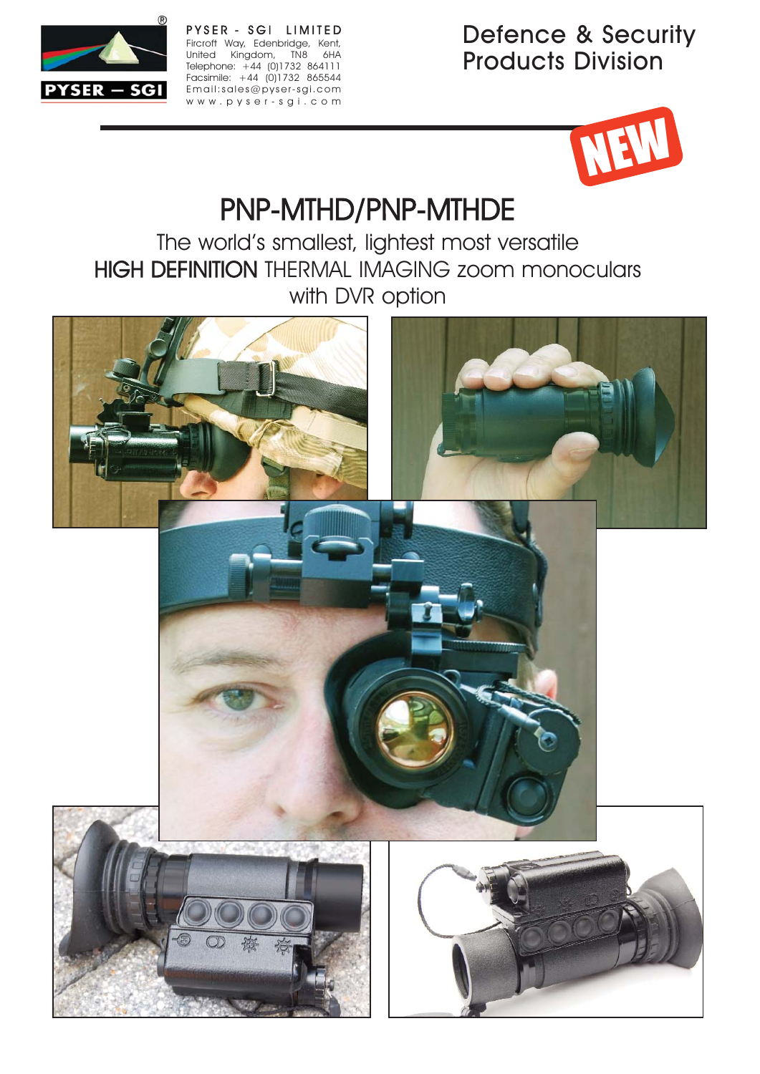

PYSER - SGI LIMITED Fircroft Way, Edenbridge, Kent, United Kingdom, TN8 6HA Telephone: +44 (0)1732 864111 Facsimile: +44 (0)1732 865544 Email:sales@pyser-sgi.com www.pyser-sgi.com

Defence & Security Products Division



# PNP-MTHD/PNP-MTHDE

The world's smallest, lightest most versatile HIGH DEFINITION THERMAL IMAGING zoom monoculars with DVR option

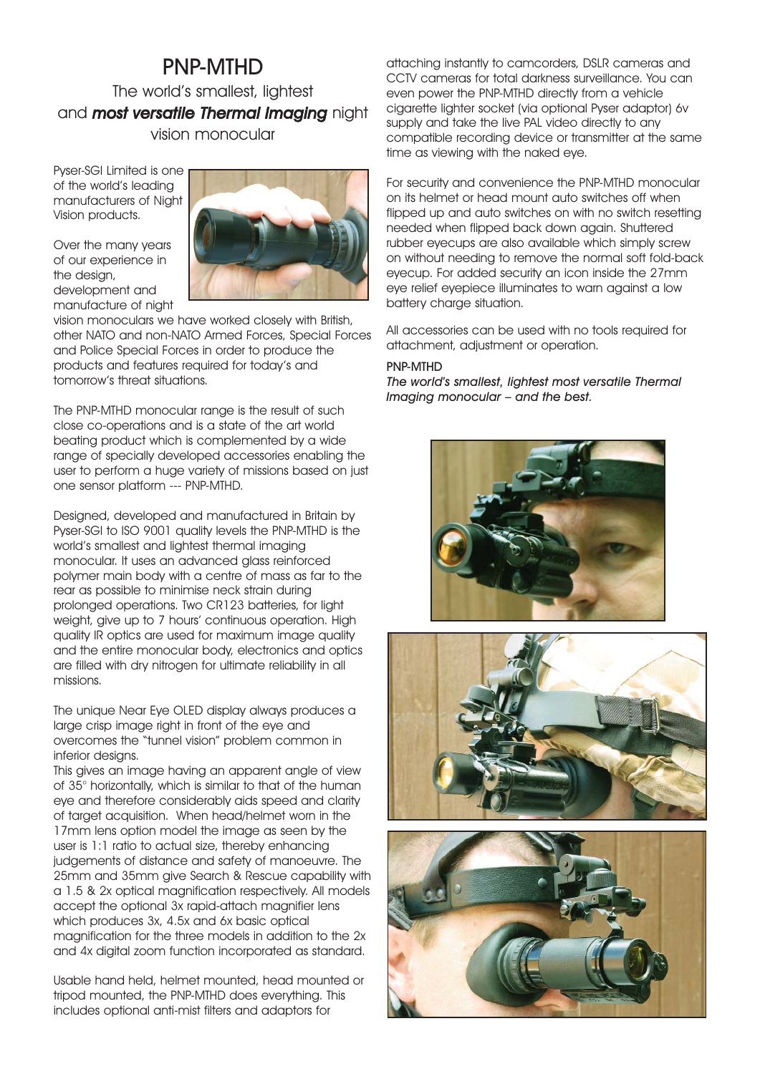### PNP-MTHD The world's smallest, lightest and **most versatile Thermal Imaging** night vision monocular

Pyser-SGI Limited is one of the world's leading manufacturers of Night Vision products.

Over the many years of our experience in the design, development and manufacture of night

![](_page_1_Picture_3.jpeg)

vision monoculars we have worked closely with British, other NATO and non-NATO Armed Forces, Special Forces and Police Special Forces in order to produce the products and features required for today's and tomorrow's threat situations.

The PNP-MTHD monocular range is the result of such close co-operations and is a state of the art world beating product which is complemented by a wide range of specially developed accessories enabling the user to perform a huge variety of missions based on just one sensor platform --- PNP-MTHD.

Designed, developed and manufactured in Britain by Pyser-SGI to ISO 9001 quality levels the PNP-MTHD is the world's smallest and lightest thermal imaging monocular. It uses an advanced glass reinforced polymer main body with a centre of mass as far to the rear as possible to minimise neck strain during prolonged operations. Two CR123 batteries, for light weight, give up to 7 hours' continuous operation. High quality IR optics are used for maximum image quality and the entire monocular body, electronics and optics are filled with dry nitrogen for ultimate reliability in all missions.

The unique Near Eye OLED display always produces a large crisp image right in front of the eye and overcomes the "tunnel vision" problem common in inferior designs.

This gives an image having an apparent angle of view of 35° horizontally, which is similar to that of the human eye and therefore considerably aids speed and clarity of target acquisition. When head/helmet worn in the 17mm lens option model the image as seen by the user is 1:1 ratio to actual size, thereby enhancing judgements of distance and safety of manoeuvre. The 25mm and 35mm give Search & Rescue capability with a 1.5 & 2x optical magnification respectively. All models accept the optional 3x rapid-attach magnifier lens which produces 3x, 4.5x and 6x basic optical magnification for the three models in addition to the 2x and 4x digital zoom function incorporated as standard.

Usable hand held, helmet mounted, head mounted or tripod mounted, the PNP-MTHD does everything. This includes optional anti-mist filters and adaptors for

attaching instantly to camcorders, DSLR cameras and CCTV cameras for total darkness surveillance. You can even power the PNP-MTHD directly from a vehicle cigarette lighter socket (via optional Pyser adaptor) 6v supply and take the live PAL video directly to any compatible recording device or transmitter at the same time as viewing with the naked eye.

For security and convenience the PNP-MTHD monocular on its helmet or head mount auto switches off when flipped up and auto switches on with no switch resetting needed when flipped back down again. Shuttered rubber eyecups are also available which simply screw on without needing to remove the normal soft fold-back eyecup. For added security an icon inside the 27mm eye relief eyepiece illuminates to warn against a low battery charge situation.

All accessories can be used with no tools required for attachment, adjustment or operation.

#### PNP-MTHD

The world's smallest, lightest most versatile Thermal Imaging monocular – and the best.

![](_page_1_Picture_15.jpeg)

![](_page_1_Picture_16.jpeg)

![](_page_1_Picture_17.jpeg)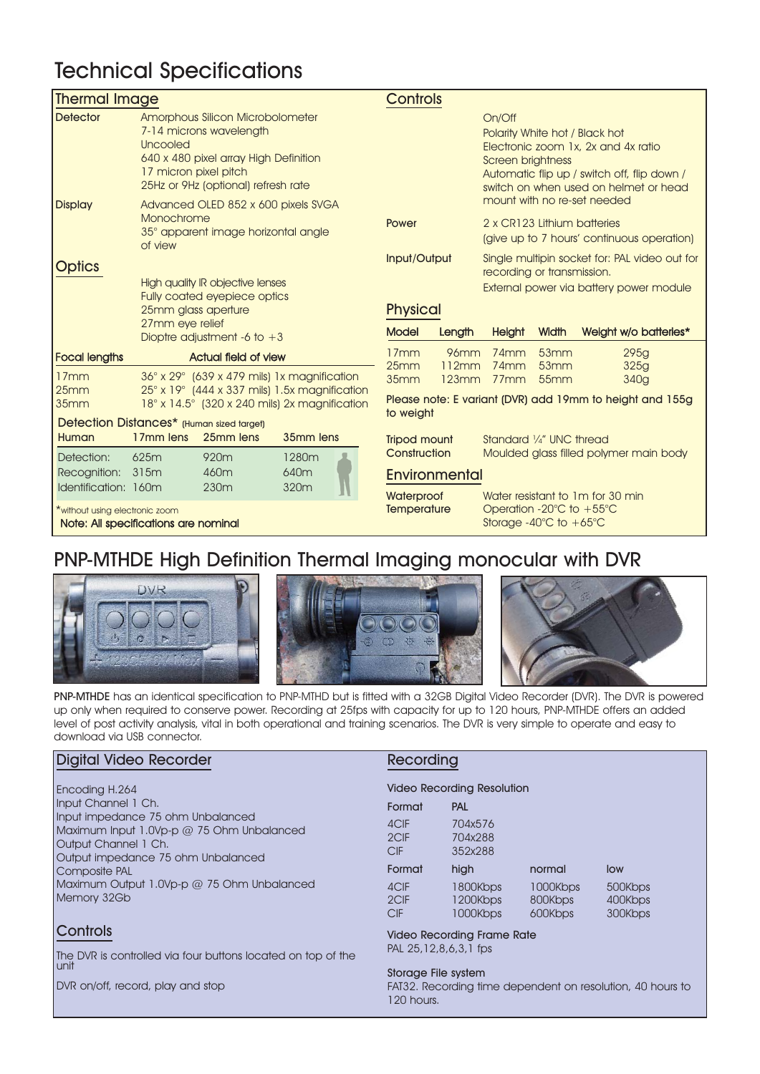## Technical Specifications

| <b>Thermal Image</b>                                                                                                     |                                                                                                                                                                                  |                                             |                  | <b>Controls</b> |                      |                                                                                                          |                                                                                              |                                                                                                                             |                                               |
|--------------------------------------------------------------------------------------------------------------------------|----------------------------------------------------------------------------------------------------------------------------------------------------------------------------------|---------------------------------------------|------------------|-----------------|----------------------|----------------------------------------------------------------------------------------------------------|----------------------------------------------------------------------------------------------|-----------------------------------------------------------------------------------------------------------------------------|-----------------------------------------------|
| <b>Detector</b>                                                                                                          | Amorphous Silicon Microbolometer<br>7-14 microns wavelength<br>Uncooled<br>640 x 480 pixel array High Definition<br>17 micron pixel pitch<br>25Hz or 9Hz (optional) refresh rate |                                             |                  |                 |                      | On/Off<br>Polarity White hot / Black hot<br>Screen brightness                                            |                                                                                              | Electronic zoom 1x, 2x and 4x ratio<br>Automatic flip up / switch off, flip down /<br>switch on when used on helmet or head |                                               |
| <b>Display</b>                                                                                                           | Advanced OLED 852 x 600 pixels SVGA<br>Monochrome<br>35° apparent image horizontal angle<br>of view                                                                              |                                             |                  | Power           |                      | mount with no re-set needed<br>2 x CR123 Lithium batteries<br>(give up to 7 hours' continuous operation) |                                                                                              |                                                                                                                             |                                               |
| <b>Optics</b>                                                                                                            |                                                                                                                                                                                  |                                             |                  |                 | Input/Output         |                                                                                                          | recording or transmission.                                                                   |                                                                                                                             | Single multipin socket for: PAL video out for |
| <b>High quality IR objective lenses</b><br><b>Fully coated eyepiece optics</b><br>25mm glass aperture<br>27mm eye relief |                                                                                                                                                                                  |                                             |                  |                 |                      |                                                                                                          |                                                                                              | External power via battery power module                                                                                     |                                               |
|                                                                                                                          |                                                                                                                                                                                  |                                             |                  | <b>Physical</b> |                      |                                                                                                          |                                                                                              |                                                                                                                             |                                               |
|                                                                                                                          |                                                                                                                                                                                  |                                             |                  | <b>Model</b>    |                      |                                                                                                          | Width                                                                                        |                                                                                                                             |                                               |
|                                                                                                                          | Dioptre adjustment -6 to $+3$                                                                                                                                                    |                                             |                  |                 |                      | Length                                                                                                   | <b>Height</b>                                                                                |                                                                                                                             | Weight w/o batteries*                         |
| <b>Focal lengths</b>                                                                                                     |                                                                                                                                                                                  | <b>Actual field of view</b>                 |                  |                 | 17mm<br>25mm         | <b>96mm</b><br>112mm                                                                                     | $74$ mm<br>74mm                                                                              | 53mm<br>53mm                                                                                                                | 295g<br>325g                                  |
| 17mm                                                                                                                     |                                                                                                                                                                                  | 36° x 29° (639 x 479 mils) 1x magnification |                  |                 | 35mm                 | 123mm                                                                                                    | 77 <sub>mm</sub>                                                                             | 55mm                                                                                                                        | 340g                                          |
| 25mm<br>35mm                                                                                                             | $25^\circ$ x 19 $^\circ$ (444 x 337 mils) 1.5x magnification<br>$18^\circ$ x $14.5^\circ$ (320 x 240 mils) 2x magnification                                                      |                                             |                  |                 |                      |                                                                                                          |                                                                                              | Please note: E variant (DVR) add 19mm to height and 155g                                                                    |                                               |
|                                                                                                                          | to weight<br>Detection Distances* (Human sized target)                                                                                                                           |                                             |                  |                 |                      |                                                                                                          |                                                                                              |                                                                                                                             |                                               |
| Human                                                                                                                    | 17 <sub>mm</sub> lens                                                                                                                                                            | 25mm lens                                   | 35mm lens        |                 | <b>Tripod mount</b>  |                                                                                                          | Standard 1/4" UNC thread                                                                     |                                                                                                                             |                                               |
| Detection:                                                                                                               | 625m                                                                                                                                                                             | 920m                                        | 1280m            |                 | Construction         |                                                                                                          |                                                                                              |                                                                                                                             | Moulded glass filled polymer main body        |
| Recognition:                                                                                                             | 315m                                                                                                                                                                             | 460m                                        | 640 <sub>m</sub> |                 | <b>Environmental</b> |                                                                                                          |                                                                                              |                                                                                                                             |                                               |
| Identification: 160m                                                                                                     |                                                                                                                                                                                  | 230 <sub>m</sub>                            | 320m             |                 | Waterproof           |                                                                                                          | Water resistant to 1m for 30 min                                                             |                                                                                                                             |                                               |
| *without using electronic zoom<br>Note: All specifications are nominal                                                   |                                                                                                                                                                                  |                                             |                  |                 | <b>Temperature</b>   |                                                                                                          | Operation -20 $\degree$ C to +55 $\degree$ C<br>Storage -40 $^{\circ}$ C to +65 $^{\circ}$ C |                                                                                                                             |                                               |

## PNP-MTHDE High Definition Thermal Imaging monocular with DVR

![](_page_2_Picture_3.jpeg)

![](_page_2_Picture_4.jpeg)

![](_page_2_Picture_5.jpeg)

PNP-MTHDE has an identical specification to PNP-MTHD but is fitted with a 32GB Digital Video Recorder (DVR). The DVR is powered up only when required to conserve power. Recording at 25fps with capacity for up to 120 hours, PNP-MTHDE offers an added level of post activity analysis, vital in both operational and training scenarios. The DVR is very simple to operate and easy to download via USB connector.

#### Digital Video Recorder

Encoding H.264 Input Channel 1 Ch. Input impedance 75 ohm Unbalanced Maximum Input 1.0Vp-p @ 75 Ohm Unbalanced Output Channel 1 Ch. Output impedance 75 ohm Unbalanced Composite PAL Maximum Output 1.0Vp-p @ 75 Ohm Unbalanced Memory 32Gb

### **Controls**

The DVR is controlled via four buttons located on top of the unit

DVR on/off, record, play and stop

#### Recording

|  |  | <b>Video Recording Resolution</b> |
|--|--|-----------------------------------|
|--|--|-----------------------------------|

| Format                     | <b>PAL</b>                       |                                |                               |
|----------------------------|----------------------------------|--------------------------------|-------------------------------|
| 4CIF<br>2CIF<br><b>CIF</b> | 704x576<br>704x288<br>352x288    |                                |                               |
| Format                     | high                             | normal                         | low                           |
| 4CIF<br>2CIF<br>CIF        | 1800Kbps<br>1200Kbps<br>1000Kbps | 1000Kbps<br>800Kbps<br>600Kbps | 500Kbps<br>400Kbps<br>300Kbps |
|                            |                                  |                                |                               |

#### Video Recording Frame Rate PAL 25,12,8,6,3,1 fps

#### Storage File system

FAT32. Recording time dependent on resolution, 40 hours to 120 hours.